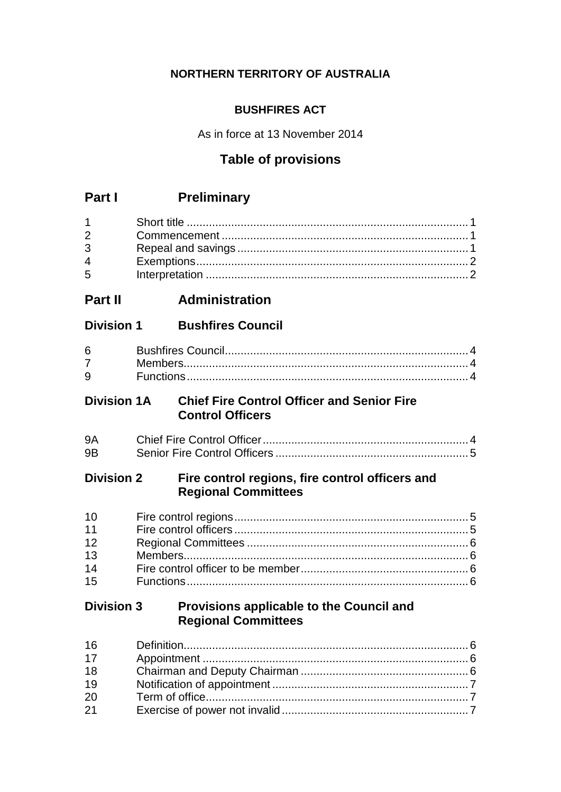# **NORTHERN TERRITORY OF AUSTRALIA**

# **BUSHFIRES ACT**

As in force at 13 November 2014

# **Table of provisions**

# **Part I Preliminary**

| $2 \left( \frac{1}{2} \right)$ |  |
|--------------------------------|--|
| $3^{\circ}$                    |  |
| $\overline{4}$                 |  |
| $5^{\circ}$                    |  |

# **Part II Administration**

# **Division 1 Bushfires Council**

| $6 \quad \circ$    |  |
|--------------------|--|
| $7 \quad \text{ }$ |  |
| $9^{\circ}$        |  |

# **Division 1A Chief Fire Control Officer and Senior Fire Control Officers**

| <b>9A</b> |  |
|-----------|--|
| 9B        |  |

# **Division 2 Fire control regions, fire control officers and Regional Committees**

| 10 |  |
|----|--|
| 11 |  |
| 12 |  |
| 13 |  |
| 14 |  |
| 15 |  |

# **Division 3 Provisions applicable to the Council and Regional Committees**

| 16 |  |
|----|--|
| 17 |  |
| 18 |  |
| 19 |  |
| 20 |  |
| 21 |  |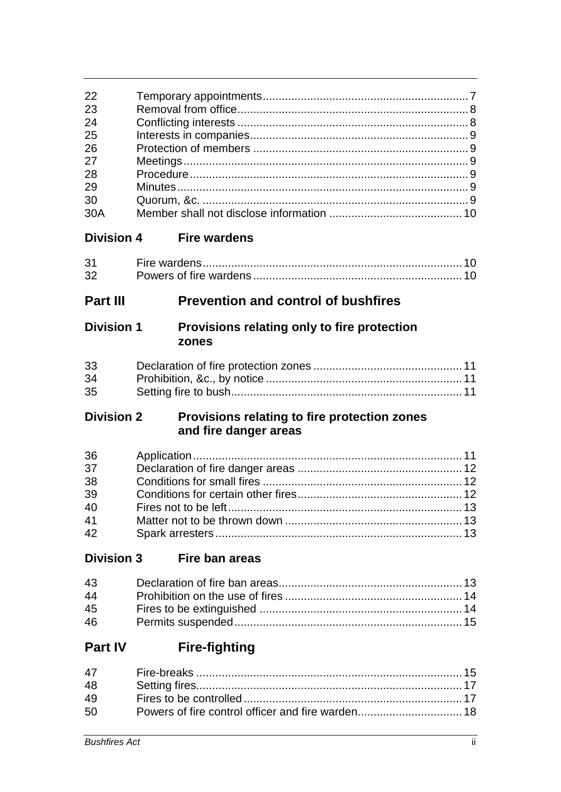| 22<br>23<br>24<br>25<br>26<br>27<br>28<br>29<br>30<br>30A |                                                                       |  |
|-----------------------------------------------------------|-----------------------------------------------------------------------|--|
| <b>Division 4</b>                                         | <b>Fire wardens</b>                                                   |  |
| 31<br>32                                                  |                                                                       |  |
| <b>Part III</b>                                           | <b>Prevention and control of bushfires</b>                            |  |
| <b>Division 1</b>                                         | Provisions relating only to fire protection<br>zones                  |  |
| 33<br>34<br>35                                            |                                                                       |  |
| <b>Division 2</b>                                         |                                                                       |  |
|                                                           | Provisions relating to fire protection zones<br>and fire danger areas |  |
| 36<br>37<br>38<br>39<br>40<br>41<br>42                    |                                                                       |  |
| <b>Division 3</b>                                         | Fire ban areas                                                        |  |
| 43<br>44<br>45<br>46                                      |                                                                       |  |
| <b>Part IV</b>                                            | <b>Fire-fighting</b>                                                  |  |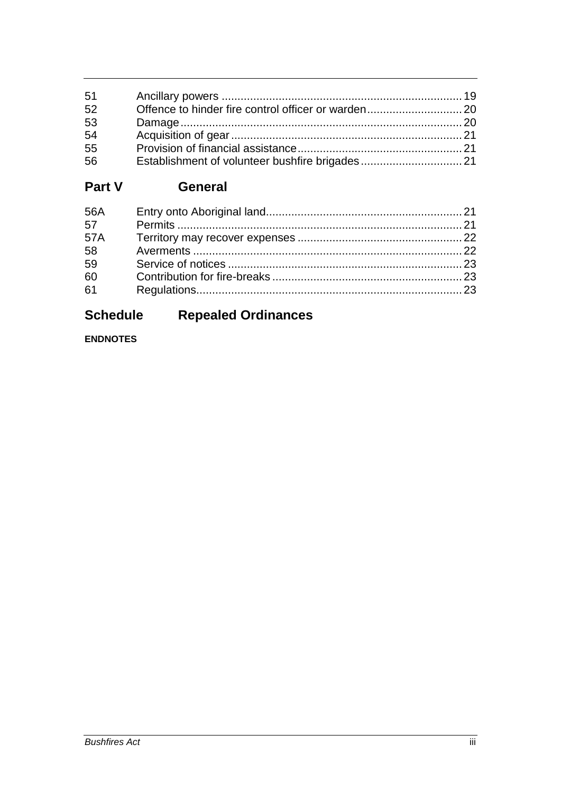| 51 |  |
|----|--|
| 52 |  |
| 53 |  |
| 54 |  |
| 55 |  |
| 56 |  |

# **Part V General**

| 56A |  |
|-----|--|
| 57  |  |
| 57A |  |
| 58  |  |
| 59  |  |
| 60  |  |
| 61  |  |

# **Schedule Repealed Ordinances**

# **ENDNOTES**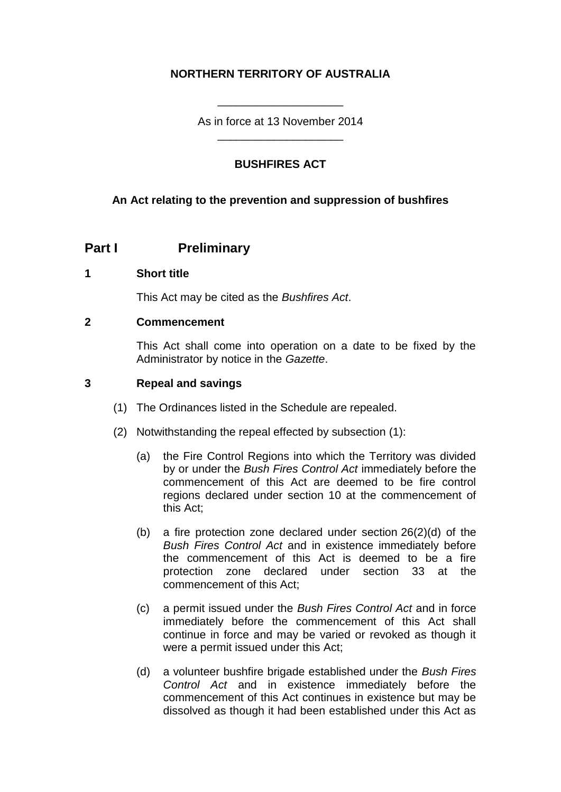# **NORTHERN TERRITORY OF AUSTRALIA**

As in force at 13 November 2014 \_\_\_\_\_\_\_\_\_\_\_\_\_\_\_\_\_\_\_\_

\_\_\_\_\_\_\_\_\_\_\_\_\_\_\_\_\_\_\_\_

## **BUSHFIRES ACT**

### **An Act relating to the prevention and suppression of bushfires**

## **Part I Preliminary**

#### **1 Short title**

This Act may be cited as the *Bushfires Act*.

#### **2 Commencement**

This Act shall come into operation on a date to be fixed by the Administrator by notice in the *Gazette*.

### **3 Repeal and savings**

- (1) The Ordinances listed in the Schedule are repealed.
- (2) Notwithstanding the repeal effected by subsection (1):
	- (a) the Fire Control Regions into which the Territory was divided by or under the *Bush Fires Control Act* immediately before the commencement of this Act are deemed to be fire control regions declared under section 10 at the commencement of this Act;
	- (b) a fire protection zone declared under section 26(2)(d) of the *Bush Fires Control Act* and in existence immediately before the commencement of this Act is deemed to be a fire protection zone declared under section 33 at the commencement of this Act;
	- (c) a permit issued under the *Bush Fires Control Act* and in force immediately before the commencement of this Act shall continue in force and may be varied or revoked as though it were a permit issued under this Act;
	- (d) a volunteer bushfire brigade established under the *Bush Fires Control Act* and in existence immediately before the commencement of this Act continues in existence but may be dissolved as though it had been established under this Act as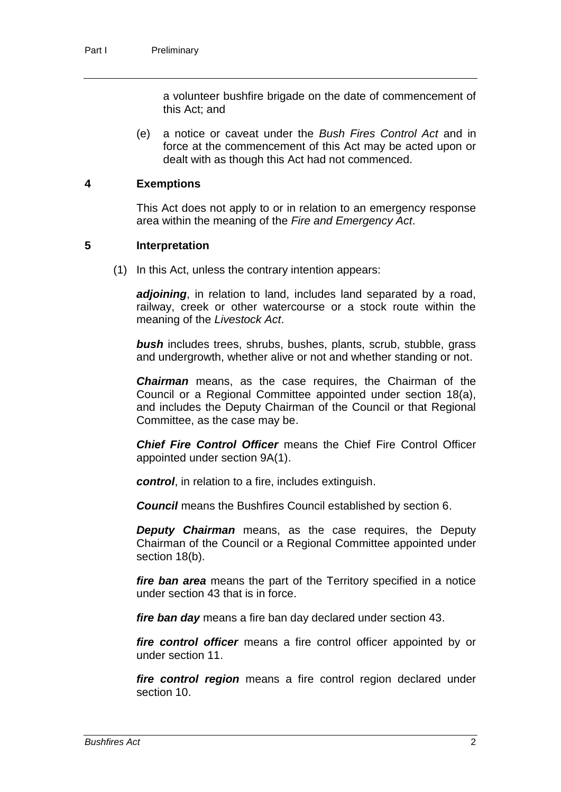a volunteer bushfire brigade on the date of commencement of this Act; and

(e) a notice or caveat under the *Bush Fires Control Act* and in force at the commencement of this Act may be acted upon or dealt with as though this Act had not commenced.

#### **4 Exemptions**

This Act does not apply to or in relation to an emergency response area within the meaning of the *Fire and Emergency Act*.

#### **5 Interpretation**

(1) In this Act, unless the contrary intention appears:

adjoining, in relation to land, includes land separated by a road, railway, creek or other watercourse or a stock route within the meaning of the *Livestock Act*.

*bush* includes trees, shrubs, bushes, plants, scrub, stubble, grass and undergrowth, whether alive or not and whether standing or not.

*Chairman* means, as the case requires, the Chairman of the Council or a Regional Committee appointed under section 18(a), and includes the Deputy Chairman of the Council or that Regional Committee, as the case may be.

*Chief Fire Control Officer* means the Chief Fire Control Officer appointed under section 9A(1).

*control*, in relation to a fire, includes extinguish.

*Council* means the Bushfires Council established by section 6.

*Deputy Chairman* means, as the case requires, the Deputy Chairman of the Council or a Regional Committee appointed under section 18(b).

*fire ban area* means the part of the Territory specified in a notice under section 43 that is in force.

*fire ban day* means a fire ban day declared under section 43.

*fire control officer* means a fire control officer appointed by or under section 11.

*fire control region* means a fire control region declared under section 10.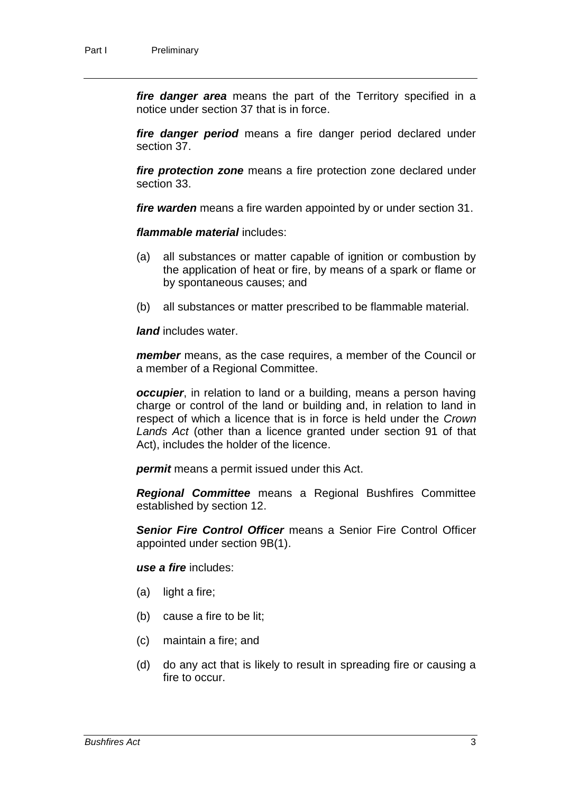*fire danger area* means the part of the Territory specified in a notice under section 37 that is in force.

*fire danger period* means a fire danger period declared under section 37.

*fire protection zone* means a fire protection zone declared under section 33.

*fire warden* means a fire warden appointed by or under section 31.

*flammable material* includes:

- (a) all substances or matter capable of ignition or combustion by the application of heat or fire, by means of a spark or flame or by spontaneous causes; and
- (b) all substances or matter prescribed to be flammable material.

*land* includes water.

*member* means, as the case requires, a member of the Council or a member of a Regional Committee.

*occupier*, in relation to land or a building, means a person having charge or control of the land or building and, in relation to land in respect of which a licence that is in force is held under the *Crown Lands Act* (other than a licence granted under section 91 of that Act), includes the holder of the licence.

*permit* means a permit issued under this Act.

*Regional Committee* means a Regional Bushfires Committee established by section 12.

*Senior Fire Control Officer* means a Senior Fire Control Officer appointed under section 9B(1).

*use a fire* includes:

- (a) light a fire;
- (b) cause a fire to be lit;
- (c) maintain a fire; and
- (d) do any act that is likely to result in spreading fire or causing a fire to occur.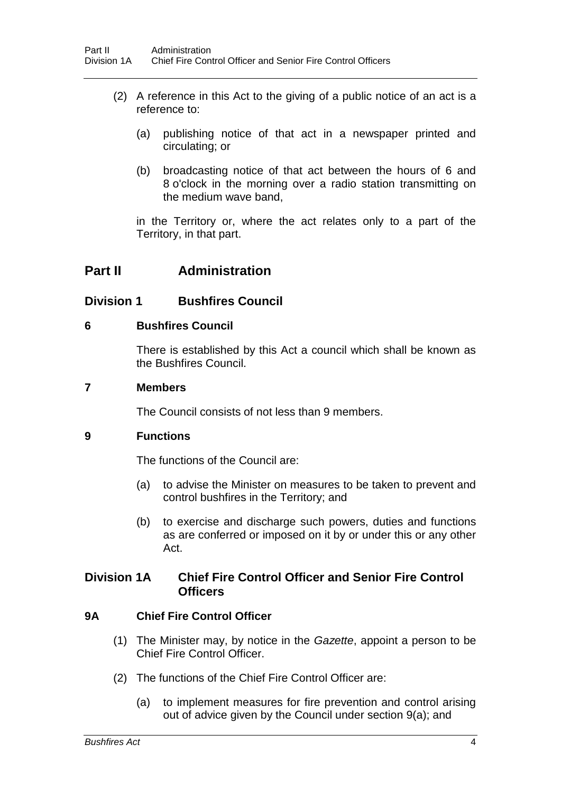- (2) A reference in this Act to the giving of a public notice of an act is a reference to:
	- (a) publishing notice of that act in a newspaper printed and circulating; or
	- (b) broadcasting notice of that act between the hours of 6 and 8 o'clock in the morning over a radio station transmitting on the medium wave band,

in the Territory or, where the act relates only to a part of the Territory, in that part.

# **Part II Administration**

## **Division 1 Bushfires Council**

### **6 Bushfires Council**

There is established by this Act a council which shall be known as the Bushfires Council.

## **7 Members**

The Council consists of not less than 9 members.

### **9 Functions**

The functions of the Council are:

- (a) to advise the Minister on measures to be taken to prevent and control bushfires in the Territory; and
- (b) to exercise and discharge such powers, duties and functions as are conferred or imposed on it by or under this or any other Act.

## **Division 1A Chief Fire Control Officer and Senior Fire Control Officers**

## **9A Chief Fire Control Officer**

- (1) The Minister may, by notice in the *Gazette*, appoint a person to be Chief Fire Control Officer.
- (2) The functions of the Chief Fire Control Officer are:
	- (a) to implement measures for fire prevention and control arising out of advice given by the Council under section 9(a); and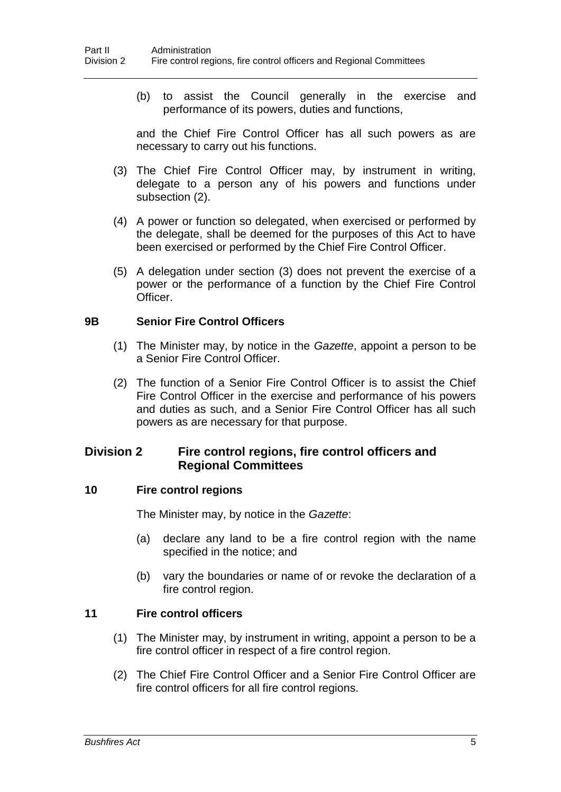(b) to assist the Council generally in the exercise and performance of its powers, duties and functions,

and the Chief Fire Control Officer has all such powers as are necessary to carry out his functions.

- (3) The Chief Fire Control Officer may, by instrument in writing, delegate to a person any of his powers and functions under subsection (2).
- (4) A power or function so delegated, when exercised or performed by the delegate, shall be deemed for the purposes of this Act to have been exercised or performed by the Chief Fire Control Officer.
- (5) A delegation under section (3) does not prevent the exercise of a power or the performance of a function by the Chief Fire Control Officer.

#### **9B Senior Fire Control Officers**

- (1) The Minister may, by notice in the *Gazette*, appoint a person to be a Senior Fire Control Officer.
- (2) The function of a Senior Fire Control Officer is to assist the Chief Fire Control Officer in the exercise and performance of his powers and duties as such, and a Senior Fire Control Officer has all such powers as are necessary for that purpose.

## **Division 2 Fire control regions, fire control officers and Regional Committees**

### **10 Fire control regions**

The Minister may, by notice in the *Gazette*:

- (a) declare any land to be a fire control region with the name specified in the notice; and
- (b) vary the boundaries or name of or revoke the declaration of a fire control region.

### **11 Fire control officers**

- (1) The Minister may, by instrument in writing, appoint a person to be a fire control officer in respect of a fire control region.
- (2) The Chief Fire Control Officer and a Senior Fire Control Officer are fire control officers for all fire control regions.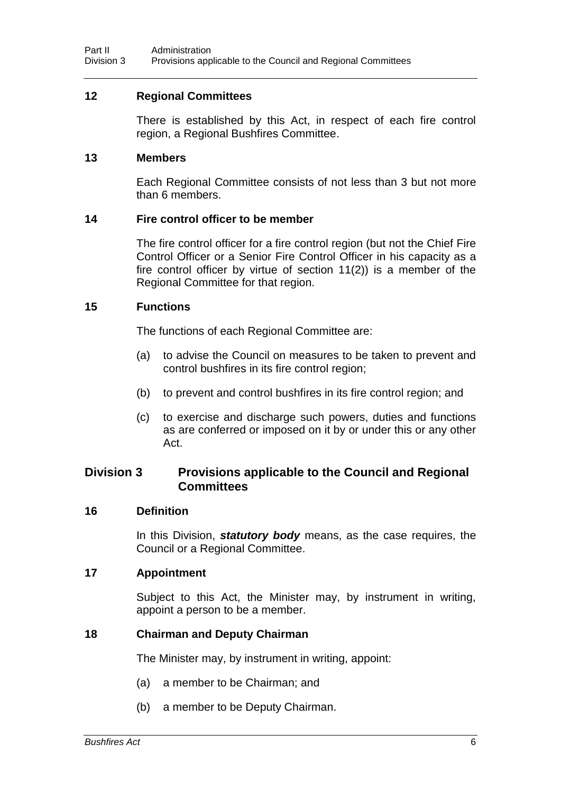#### **12 Regional Committees**

There is established by this Act, in respect of each fire control region, a Regional Bushfires Committee.

#### **13 Members**

Each Regional Committee consists of not less than 3 but not more than 6 members.

#### **14 Fire control officer to be member**

The fire control officer for a fire control region (but not the Chief Fire Control Officer or a Senior Fire Control Officer in his capacity as a fire control officer by virtue of section 11(2)) is a member of the Regional Committee for that region.

#### **15 Functions**

The functions of each Regional Committee are:

- (a) to advise the Council on measures to be taken to prevent and control bushfires in its fire control region;
- (b) to prevent and control bushfires in its fire control region; and
- (c) to exercise and discharge such powers, duties and functions as are conferred or imposed on it by or under this or any other Act.

## **Division 3 Provisions applicable to the Council and Regional Committees**

#### **16 Definition**

In this Division, *statutory body* means, as the case requires, the Council or a Regional Committee.

### **17 Appointment**

Subject to this Act, the Minister may, by instrument in writing, appoint a person to be a member.

### **18 Chairman and Deputy Chairman**

The Minister may, by instrument in writing, appoint:

- (a) a member to be Chairman; and
- (b) a member to be Deputy Chairman.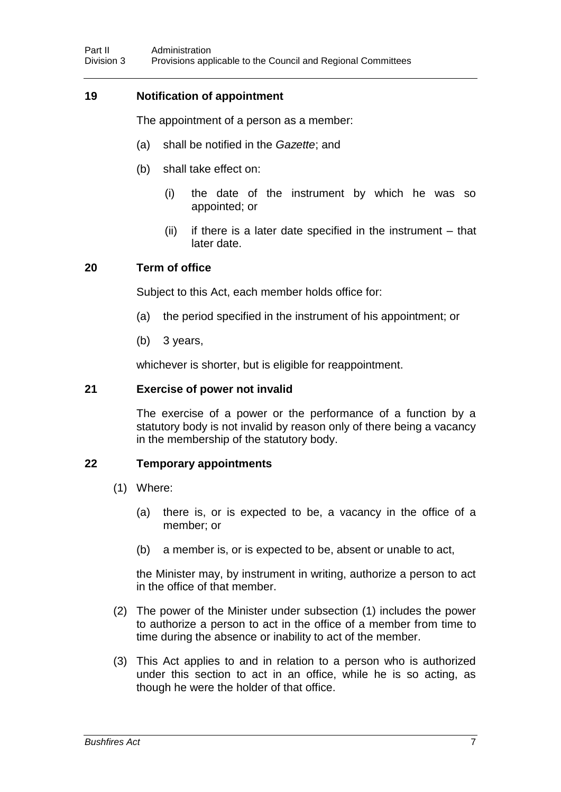## **19 Notification of appointment**

The appointment of a person as a member:

- (a) shall be notified in the *Gazette*; and
- (b) shall take effect on:
	- (i) the date of the instrument by which he was so appointed; or
	- (ii) if there is a later date specified in the instrument that later date.

### **20 Term of office**

Subject to this Act, each member holds office for:

- (a) the period specified in the instrument of his appointment; or
- (b) 3 years,

whichever is shorter, but is eligible for reappointment.

#### **21 Exercise of power not invalid**

The exercise of a power or the performance of a function by a statutory body is not invalid by reason only of there being a vacancy in the membership of the statutory body.

## **22 Temporary appointments**

- (1) Where:
	- (a) there is, or is expected to be, a vacancy in the office of a member; or
	- (b) a member is, or is expected to be, absent or unable to act,

the Minister may, by instrument in writing, authorize a person to act in the office of that member.

- (2) The power of the Minister under subsection (1) includes the power to authorize a person to act in the office of a member from time to time during the absence or inability to act of the member.
- (3) This Act applies to and in relation to a person who is authorized under this section to act in an office, while he is so acting, as though he were the holder of that office.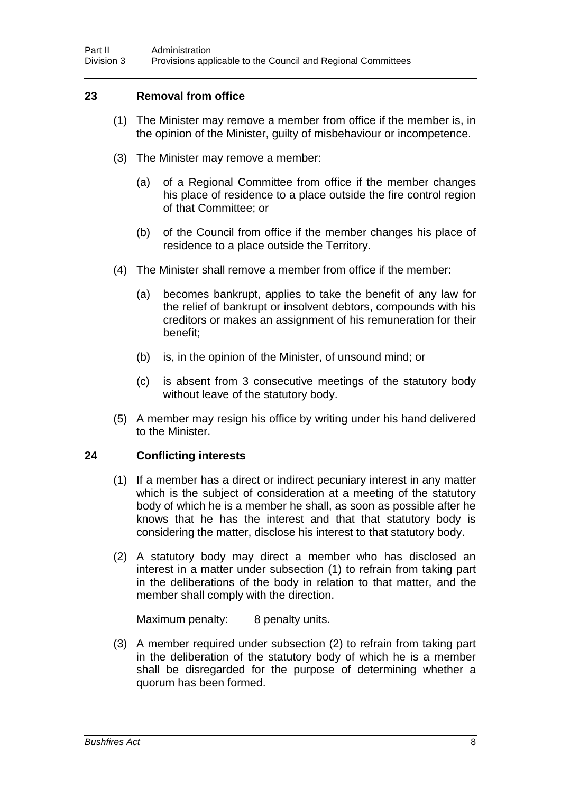## **23 Removal from office**

- (1) The Minister may remove a member from office if the member is, in the opinion of the Minister, guilty of misbehaviour or incompetence.
- (3) The Minister may remove a member:
	- (a) of a Regional Committee from office if the member changes his place of residence to a place outside the fire control region of that Committee; or
	- (b) of the Council from office if the member changes his place of residence to a place outside the Territory.
- (4) The Minister shall remove a member from office if the member:
	- (a) becomes bankrupt, applies to take the benefit of any law for the relief of bankrupt or insolvent debtors, compounds with his creditors or makes an assignment of his remuneration for their benefit;
	- (b) is, in the opinion of the Minister, of unsound mind; or
	- (c) is absent from 3 consecutive meetings of the statutory body without leave of the statutory body.
- (5) A member may resign his office by writing under his hand delivered to the Minister.

### **24 Conflicting interests**

- (1) If a member has a direct or indirect pecuniary interest in any matter which is the subject of consideration at a meeting of the statutory body of which he is a member he shall, as soon as possible after he knows that he has the interest and that that statutory body is considering the matter, disclose his interest to that statutory body.
- (2) A statutory body may direct a member who has disclosed an interest in a matter under subsection (1) to refrain from taking part in the deliberations of the body in relation to that matter, and the member shall comply with the direction.

Maximum penalty: 8 penalty units.

(3) A member required under subsection (2) to refrain from taking part in the deliberation of the statutory body of which he is a member shall be disregarded for the purpose of determining whether a quorum has been formed.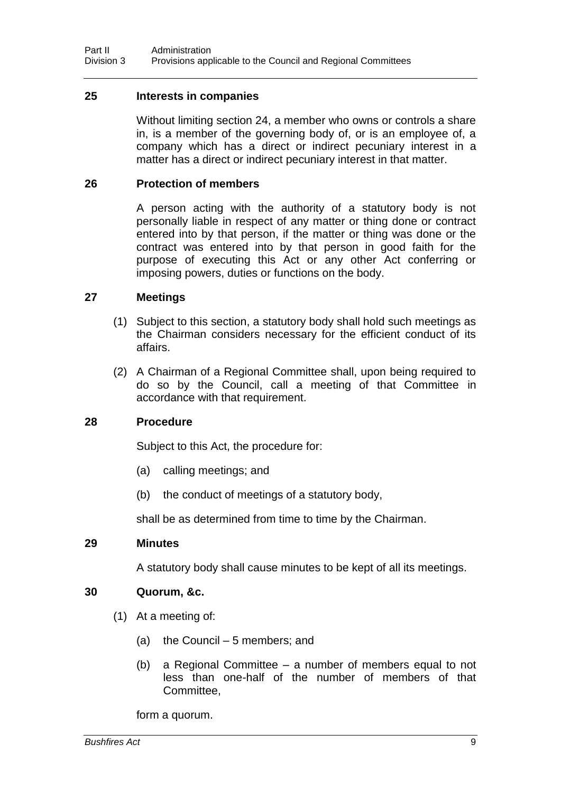#### **25 Interests in companies**

Without limiting section 24, a member who owns or controls a share in, is a member of the governing body of, or is an employee of, a company which has a direct or indirect pecuniary interest in a matter has a direct or indirect pecuniary interest in that matter.

#### **26 Protection of members**

A person acting with the authority of a statutory body is not personally liable in respect of any matter or thing done or contract entered into by that person, if the matter or thing was done or the contract was entered into by that person in good faith for the purpose of executing this Act or any other Act conferring or imposing powers, duties or functions on the body.

#### **27 Meetings**

- (1) Subject to this section, a statutory body shall hold such meetings as the Chairman considers necessary for the efficient conduct of its affairs.
- (2) A Chairman of a Regional Committee shall, upon being required to do so by the Council, call a meeting of that Committee in accordance with that requirement.

#### **28 Procedure**

Subject to this Act, the procedure for:

- (a) calling meetings; and
- (b) the conduct of meetings of a statutory body,

shall be as determined from time to time by the Chairman.

#### **29 Minutes**

A statutory body shall cause minutes to be kept of all its meetings.

### **30 Quorum, &c.**

- (1) At a meeting of:
	- (a) the Council 5 members; and
	- (b) a Regional Committee a number of members equal to not less than one-half of the number of members of that Committee,

form a quorum.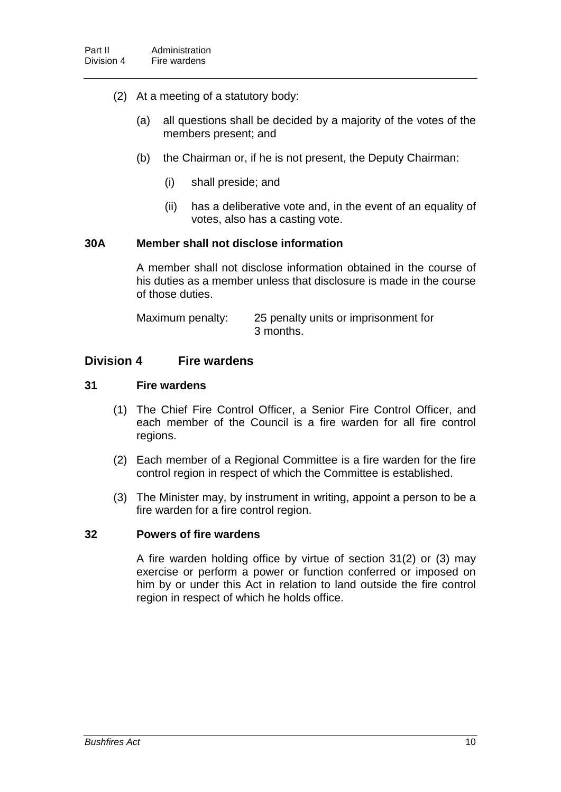- (2) At a meeting of a statutory body:
	- (a) all questions shall be decided by a majority of the votes of the members present; and
	- (b) the Chairman or, if he is not present, the Deputy Chairman:
		- (i) shall preside; and
		- (ii) has a deliberative vote and, in the event of an equality of votes, also has a casting vote.

### **30A Member shall not disclose information**

A member shall not disclose information obtained in the course of his duties as a member unless that disclosure is made in the course of those duties.

| Maximum penalty: | 25 penalty units or imprisonment for |
|------------------|--------------------------------------|
|                  | 3 months.                            |

## **Division 4 Fire wardens**

#### **31 Fire wardens**

- (1) The Chief Fire Control Officer, a Senior Fire Control Officer, and each member of the Council is a fire warden for all fire control regions.
- (2) Each member of a Regional Committee is a fire warden for the fire control region in respect of which the Committee is established.
- (3) The Minister may, by instrument in writing, appoint a person to be a fire warden for a fire control region.

#### **32 Powers of fire wardens**

A fire warden holding office by virtue of section 31(2) or (3) may exercise or perform a power or function conferred or imposed on him by or under this Act in relation to land outside the fire control region in respect of which he holds office.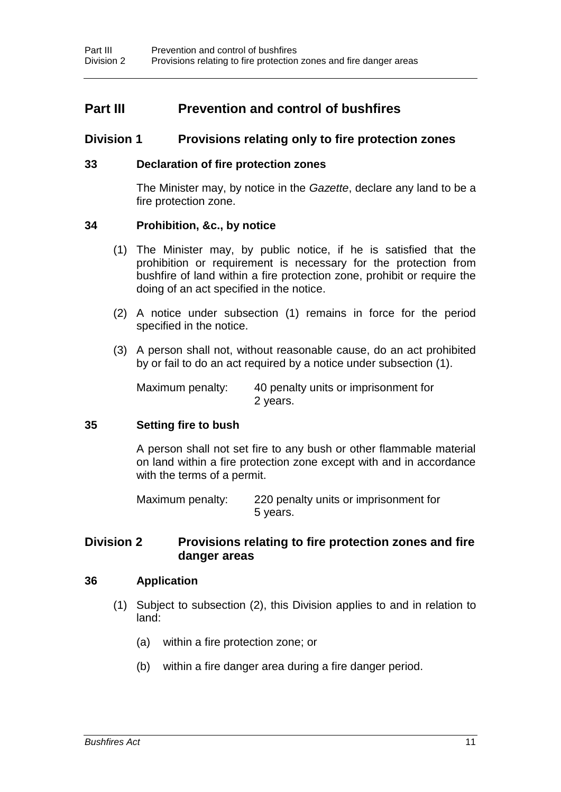# **Part III Prevention and control of bushfires**

## **Division 1 Provisions relating only to fire protection zones**

#### **33 Declaration of fire protection zones**

The Minister may, by notice in the *Gazette*, declare any land to be a fire protection zone.

#### **34 Prohibition, &c., by notice**

- (1) The Minister may, by public notice, if he is satisfied that the prohibition or requirement is necessary for the protection from bushfire of land within a fire protection zone, prohibit or require the doing of an act specified in the notice.
- (2) A notice under subsection (1) remains in force for the period specified in the notice.
- (3) A person shall not, without reasonable cause, do an act prohibited by or fail to do an act required by a notice under subsection (1).

Maximum penalty: 40 penalty units or imprisonment for 2 years.

#### **35 Setting fire to bush**

A person shall not set fire to any bush or other flammable material on land within a fire protection zone except with and in accordance with the terms of a permit.

Maximum penalty: 220 penalty units or imprisonment for 5 years.

## **Division 2 Provisions relating to fire protection zones and fire danger areas**

#### **36 Application**

- (1) Subject to subsection (2), this Division applies to and in relation to land:
	- (a) within a fire protection zone; or
	- (b) within a fire danger area during a fire danger period.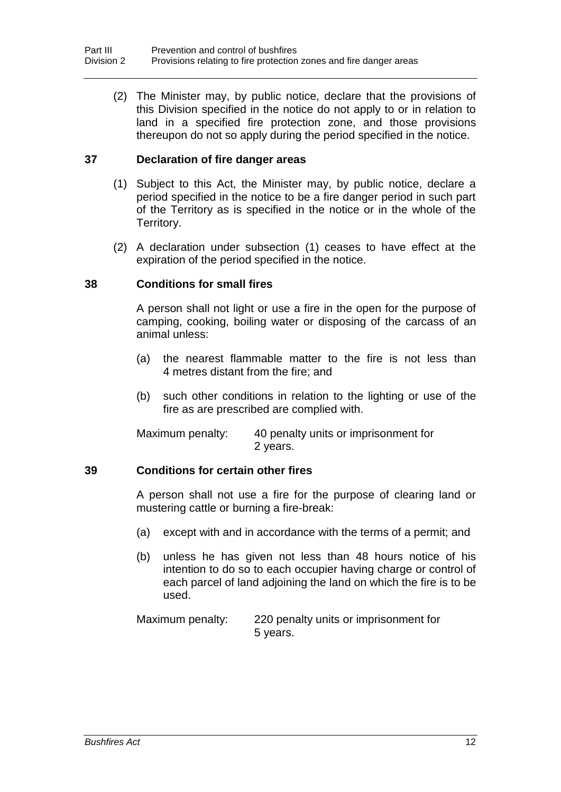(2) The Minister may, by public notice, declare that the provisions of this Division specified in the notice do not apply to or in relation to land in a specified fire protection zone, and those provisions thereupon do not so apply during the period specified in the notice.

## **37 Declaration of fire danger areas**

- (1) Subject to this Act, the Minister may, by public notice, declare a period specified in the notice to be a fire danger period in such part of the Territory as is specified in the notice or in the whole of the Territory.
- (2) A declaration under subsection (1) ceases to have effect at the expiration of the period specified in the notice.

### **38 Conditions for small fires**

A person shall not light or use a fire in the open for the purpose of camping, cooking, boiling water or disposing of the carcass of an animal unless:

- (a) the nearest flammable matter to the fire is not less than 4 metres distant from the fire; and
- (b) such other conditions in relation to the lighting or use of the fire as are prescribed are complied with.

Maximum penalty: 40 penalty units or imprisonment for 2 years.

### **39 Conditions for certain other fires**

A person shall not use a fire for the purpose of clearing land or mustering cattle or burning a fire-break:

- (a) except with and in accordance with the terms of a permit; and
- (b) unless he has given not less than 48 hours notice of his intention to do so to each occupier having charge or control of each parcel of land adjoining the land on which the fire is to be used.

Maximum penalty: 220 penalty units or imprisonment for 5 years.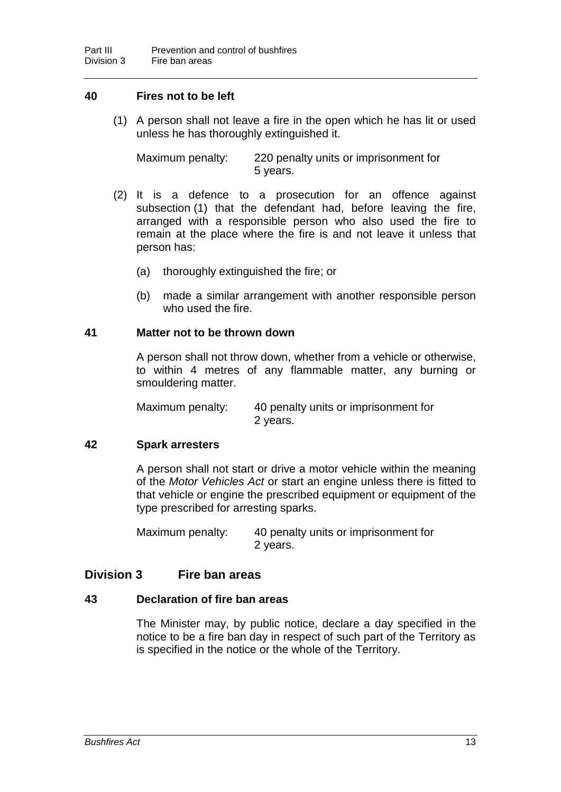## **40 Fires not to be left**

(1) A person shall not leave a fire in the open which he has lit or used unless he has thoroughly extinguished it.

Maximum penalty: 220 penalty units or imprisonment for 5 years.

- (2) It is a defence to a prosecution for an offence against subsection (1) that the defendant had, before leaving the fire, arranged with a responsible person who also used the fire to remain at the place where the fire is and not leave it unless that person has:
	- (a) thoroughly extinguished the fire; or
	- (b) made a similar arrangement with another responsible person who used the fire.

#### **41 Matter not to be thrown down**

A person shall not throw down, whether from a vehicle or otherwise, to within 4 metres of any flammable matter, any burning or smouldering matter.

Maximum penalty: 40 penalty units or imprisonment for 2 years.

### **42 Spark arresters**

A person shall not start or drive a motor vehicle within the meaning of the *Motor Vehicles Act* or start an engine unless there is fitted to that vehicle or engine the prescribed equipment or equipment of the type prescribed for arresting sparks.

Maximum penalty: 40 penalty units or imprisonment for 2 years.

## **Division 3 Fire ban areas**

### **43 Declaration of fire ban areas**

The Minister may, by public notice, declare a day specified in the notice to be a fire ban day in respect of such part of the Territory as is specified in the notice or the whole of the Territory.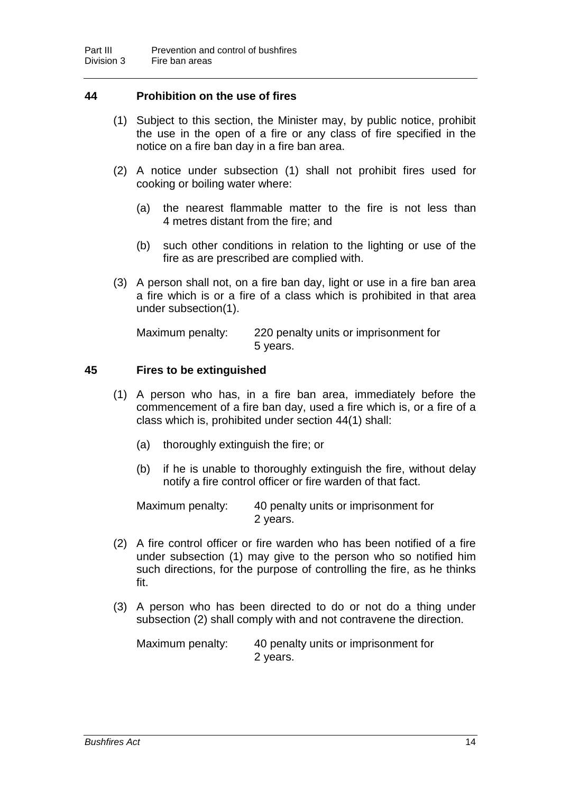## **44 Prohibition on the use of fires**

- (1) Subject to this section, the Minister may, by public notice, prohibit the use in the open of a fire or any class of fire specified in the notice on a fire ban day in a fire ban area.
- (2) A notice under subsection (1) shall not prohibit fires used for cooking or boiling water where:
	- (a) the nearest flammable matter to the fire is not less than 4 metres distant from the fire; and
	- (b) such other conditions in relation to the lighting or use of the fire as are prescribed are complied with.
- (3) A person shall not, on a fire ban day, light or use in a fire ban area a fire which is or a fire of a class which is prohibited in that area under subsection(1).

Maximum penalty: 220 penalty units or imprisonment for 5 years.

### **45 Fires to be extinguished**

- (1) A person who has, in a fire ban area, immediately before the commencement of a fire ban day, used a fire which is, or a fire of a class which is, prohibited under section 44(1) shall:
	- (a) thoroughly extinguish the fire; or
	- (b) if he is unable to thoroughly extinguish the fire, without delay notify a fire control officer or fire warden of that fact.

Maximum penalty: 40 penalty units or imprisonment for 2 years.

- (2) A fire control officer or fire warden who has been notified of a fire under subsection (1) may give to the person who so notified him such directions, for the purpose of controlling the fire, as he thinks fit.
- (3) A person who has been directed to do or not do a thing under subsection (2) shall comply with and not contravene the direction.

Maximum penalty: 40 penalty units or imprisonment for 2 years.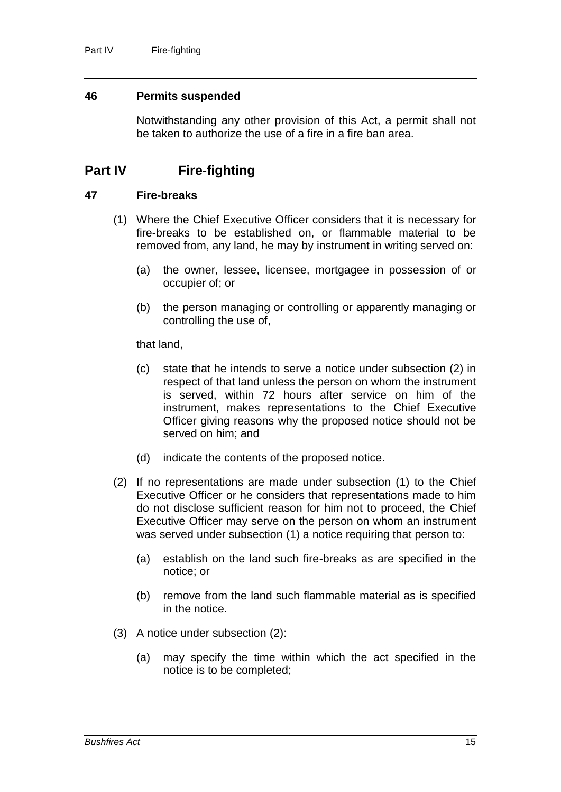#### **46 Permits suspended**

Notwithstanding any other provision of this Act, a permit shall not be taken to authorize the use of a fire in a fire ban area.

# **Part IV Fire-fighting**

#### **47 Fire-breaks**

- (1) Where the Chief Executive Officer considers that it is necessary for fire-breaks to be established on, or flammable material to be removed from, any land, he may by instrument in writing served on:
	- (a) the owner, lessee, licensee, mortgagee in possession of or occupier of; or
	- (b) the person managing or controlling or apparently managing or controlling the use of,

that land,

- (c) state that he intends to serve a notice under subsection (2) in respect of that land unless the person on whom the instrument is served, within 72 hours after service on him of the instrument, makes representations to the Chief Executive Officer giving reasons why the proposed notice should not be served on him; and
- (d) indicate the contents of the proposed notice.
- (2) If no representations are made under subsection (1) to the Chief Executive Officer or he considers that representations made to him do not disclose sufficient reason for him not to proceed, the Chief Executive Officer may serve on the person on whom an instrument was served under subsection (1) a notice requiring that person to:
	- (a) establish on the land such fire-breaks as are specified in the notice; or
	- (b) remove from the land such flammable material as is specified in the notice.
- (3) A notice under subsection (2):
	- (a) may specify the time within which the act specified in the notice is to be completed;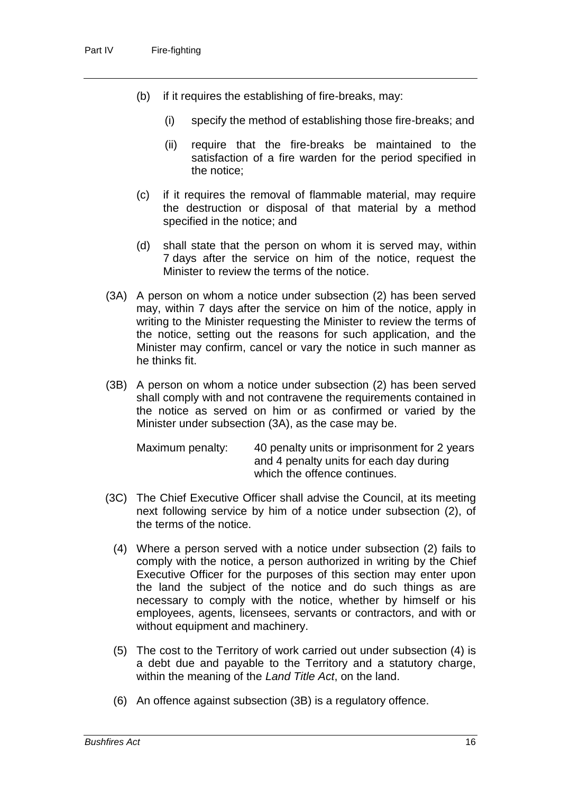- (b) if it requires the establishing of fire-breaks, may:
	- (i) specify the method of establishing those fire-breaks; and
	- (ii) require that the fire-breaks be maintained to the satisfaction of a fire warden for the period specified in the notice;
- (c) if it requires the removal of flammable material, may require the destruction or disposal of that material by a method specified in the notice; and
- (d) shall state that the person on whom it is served may, within 7 days after the service on him of the notice, request the Minister to review the terms of the notice.
- (3A) A person on whom a notice under subsection (2) has been served may, within 7 days after the service on him of the notice, apply in writing to the Minister requesting the Minister to review the terms of the notice, setting out the reasons for such application, and the Minister may confirm, cancel or vary the notice in such manner as he thinks fit.
- (3B) A person on whom a notice under subsection (2) has been served shall comply with and not contravene the requirements contained in the notice as served on him or as confirmed or varied by the Minister under subsection (3A), as the case may be.

Maximum penalty: 40 penalty units or imprisonment for 2 years and 4 penalty units for each day during which the offence continues.

- (3C) The Chief Executive Officer shall advise the Council, at its meeting next following service by him of a notice under subsection (2), of the terms of the notice.
	- (4) Where a person served with a notice under subsection (2) fails to comply with the notice, a person authorized in writing by the Chief Executive Officer for the purposes of this section may enter upon the land the subject of the notice and do such things as are necessary to comply with the notice, whether by himself or his employees, agents, licensees, servants or contractors, and with or without equipment and machinery.
	- (5) The cost to the Territory of work carried out under subsection (4) is a debt due and payable to the Territory and a statutory charge, within the meaning of the *Land Title Act*, on the land.
	- (6) An offence against subsection (3B) is a regulatory offence.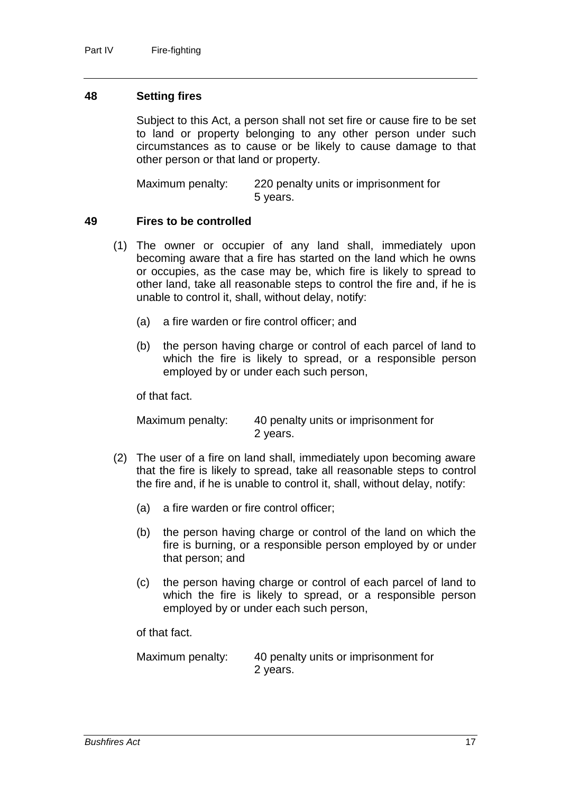#### **48 Setting fires**

Subject to this Act, a person shall not set fire or cause fire to be set to land or property belonging to any other person under such circumstances as to cause or be likely to cause damage to that other person or that land or property.

Maximum penalty: 220 penalty units or imprisonment for 5 years.

#### **49 Fires to be controlled**

- (1) The owner or occupier of any land shall, immediately upon becoming aware that a fire has started on the land which he owns or occupies, as the case may be, which fire is likely to spread to other land, take all reasonable steps to control the fire and, if he is unable to control it, shall, without delay, notify:
	- (a) a fire warden or fire control officer; and
	- (b) the person having charge or control of each parcel of land to which the fire is likely to spread, or a responsible person employed by or under each such person,

of that fact.

Maximum penalty: 40 penalty units or imprisonment for 2 years.

- (2) The user of a fire on land shall, immediately upon becoming aware that the fire is likely to spread, take all reasonable steps to control the fire and, if he is unable to control it, shall, without delay, notify:
	- (a) a fire warden or fire control officer;
	- (b) the person having charge or control of the land on which the fire is burning, or a responsible person employed by or under that person; and
	- (c) the person having charge or control of each parcel of land to which the fire is likely to spread, or a responsible person employed by or under each such person,

of that fact.

Maximum penalty: 40 penalty units or imprisonment for 2 years.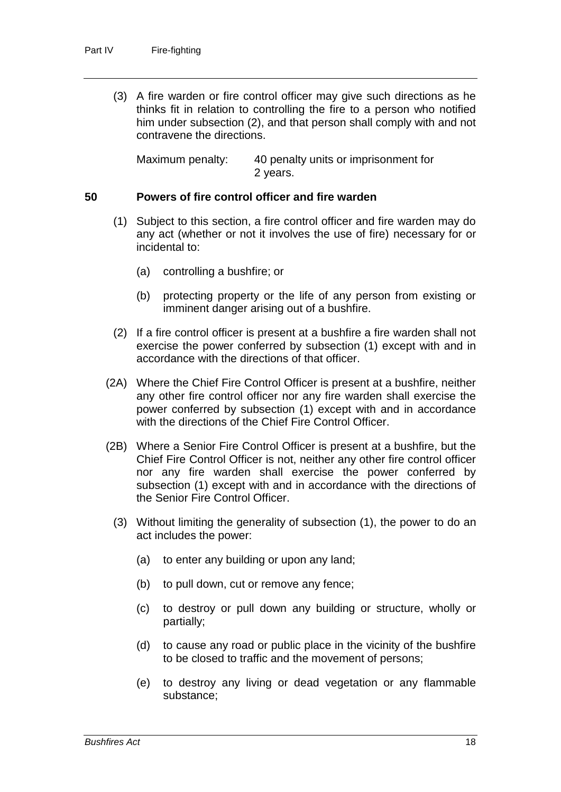(3) A fire warden or fire control officer may give such directions as he thinks fit in relation to controlling the fire to a person who notified him under subsection (2), and that person shall comply with and not contravene the directions.

Maximum penalty: 40 penalty units or imprisonment for 2 years.

## **50 Powers of fire control officer and fire warden**

- (1) Subject to this section, a fire control officer and fire warden may do any act (whether or not it involves the use of fire) necessary for or incidental to:
	- (a) controlling a bushfire; or
	- (b) protecting property or the life of any person from existing or imminent danger arising out of a bushfire.
- (2) If a fire control officer is present at a bushfire a fire warden shall not exercise the power conferred by subsection (1) except with and in accordance with the directions of that officer.
- (2A) Where the Chief Fire Control Officer is present at a bushfire, neither any other fire control officer nor any fire warden shall exercise the power conferred by subsection (1) except with and in accordance with the directions of the Chief Fire Control Officer.
- (2B) Where a Senior Fire Control Officer is present at a bushfire, but the Chief Fire Control Officer is not, neither any other fire control officer nor any fire warden shall exercise the power conferred by subsection (1) except with and in accordance with the directions of the Senior Fire Control Officer.
	- (3) Without limiting the generality of subsection (1), the power to do an act includes the power:
		- (a) to enter any building or upon any land;
		- (b) to pull down, cut or remove any fence;
		- (c) to destroy or pull down any building or structure, wholly or partially;
		- (d) to cause any road or public place in the vicinity of the bushfire to be closed to traffic and the movement of persons;
		- (e) to destroy any living or dead vegetation or any flammable substance;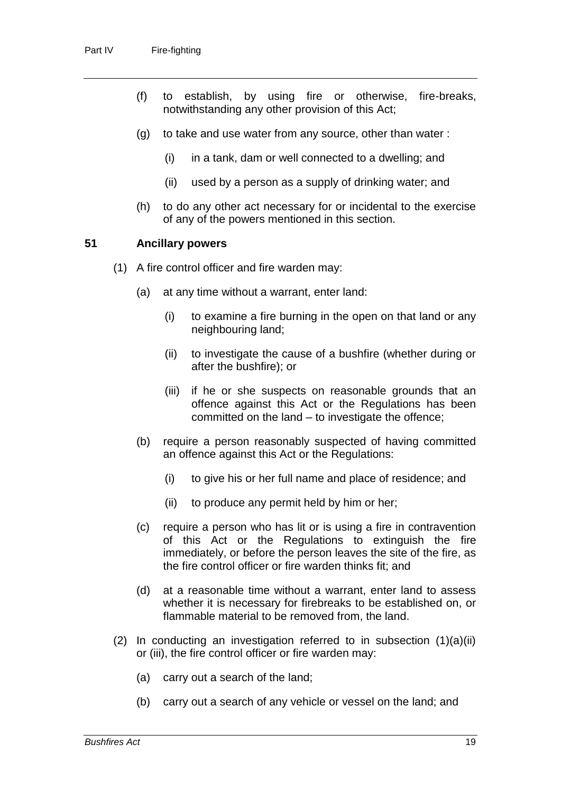- (f) to establish, by using fire or otherwise, fire-breaks, notwithstanding any other provision of this Act;
- (g) to take and use water from any source, other than water :
	- (i) in a tank, dam or well connected to a dwelling; and
	- (ii) used by a person as a supply of drinking water; and
- (h) to do any other act necessary for or incidental to the exercise of any of the powers mentioned in this section.

#### **51 Ancillary powers**

- (1) A fire control officer and fire warden may:
	- (a) at any time without a warrant, enter land:
		- (i) to examine a fire burning in the open on that land or any neighbouring land;
		- (ii) to investigate the cause of a bushfire (whether during or after the bushfire); or
		- (iii) if he or she suspects on reasonable grounds that an offence against this Act or the Regulations has been committed on the land – to investigate the offence;
	- (b) require a person reasonably suspected of having committed an offence against this Act or the Regulations:
		- (i) to give his or her full name and place of residence; and
		- (ii) to produce any permit held by him or her;
	- (c) require a person who has lit or is using a fire in contravention of this Act or the Regulations to extinguish the fire immediately, or before the person leaves the site of the fire, as the fire control officer or fire warden thinks fit; and
	- (d) at a reasonable time without a warrant, enter land to assess whether it is necessary for firebreaks to be established on, or flammable material to be removed from, the land.
- (2) In conducting an investigation referred to in subsection  $(1)(a)(ii)$ or (iii), the fire control officer or fire warden may:
	- (a) carry out a search of the land;
	- (b) carry out a search of any vehicle or vessel on the land; and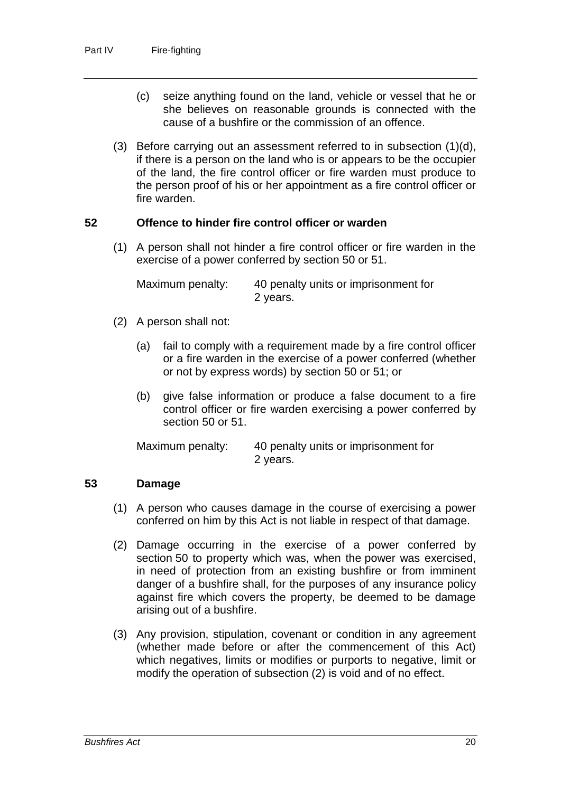- (c) seize anything found on the land, vehicle or vessel that he or she believes on reasonable grounds is connected with the cause of a bushfire or the commission of an offence.
- (3) Before carrying out an assessment referred to in subsection (1)(d), if there is a person on the land who is or appears to be the occupier of the land, the fire control officer or fire warden must produce to the person proof of his or her appointment as a fire control officer or fire warden.

## **52 Offence to hinder fire control officer or warden**

(1) A person shall not hinder a fire control officer or fire warden in the exercise of a power conferred by section 50 or 51.

| Maximum penalty: | 40 penalty units or imprisonment for |
|------------------|--------------------------------------|
|                  | 2 years.                             |

- (2) A person shall not:
	- (a) fail to comply with a requirement made by a fire control officer or a fire warden in the exercise of a power conferred (whether or not by express words) by section 50 or 51; or
	- (b) give false information or produce a false document to a fire control officer or fire warden exercising a power conferred by section 50 or 51.

Maximum penalty: 40 penalty units or imprisonment for 2 years.

### **53 Damage**

- (1) A person who causes damage in the course of exercising a power conferred on him by this Act is not liable in respect of that damage.
- (2) Damage occurring in the exercise of a power conferred by section 50 to property which was, when the power was exercised, in need of protection from an existing bushfire or from imminent danger of a bushfire shall, for the purposes of any insurance policy against fire which covers the property, be deemed to be damage arising out of a bushfire.
- (3) Any provision, stipulation, covenant or condition in any agreement (whether made before or after the commencement of this Act) which negatives, limits or modifies or purports to negative, limit or modify the operation of subsection (2) is void and of no effect.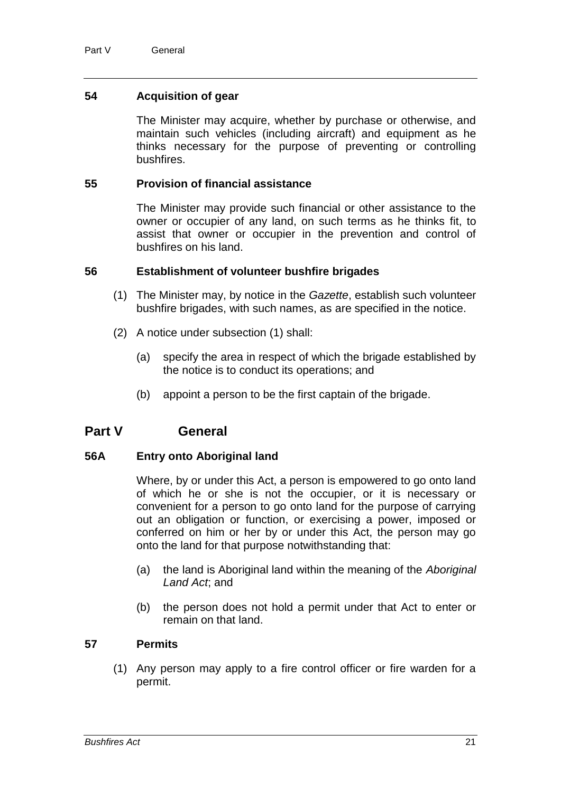## **54 Acquisition of gear**

The Minister may acquire, whether by purchase or otherwise, and maintain such vehicles (including aircraft) and equipment as he thinks necessary for the purpose of preventing or controlling bushfires.

#### **55 Provision of financial assistance**

The Minister may provide such financial or other assistance to the owner or occupier of any land, on such terms as he thinks fit, to assist that owner or occupier in the prevention and control of bushfires on his land.

#### **56 Establishment of volunteer bushfire brigades**

- (1) The Minister may, by notice in the *Gazette*, establish such volunteer bushfire brigades, with such names, as are specified in the notice.
- (2) A notice under subsection (1) shall:
	- (a) specify the area in respect of which the brigade established by the notice is to conduct its operations; and
	- (b) appoint a person to be the first captain of the brigade.

## **Part V General**

### **56A Entry onto Aboriginal land**

Where, by or under this Act, a person is empowered to go onto land of which he or she is not the occupier, or it is necessary or convenient for a person to go onto land for the purpose of carrying out an obligation or function, or exercising a power, imposed or conferred on him or her by or under this Act, the person may go onto the land for that purpose notwithstanding that:

- (a) the land is Aboriginal land within the meaning of the *Aboriginal Land Act*; and
- (b) the person does not hold a permit under that Act to enter or remain on that land.

## **57 Permits**

(1) Any person may apply to a fire control officer or fire warden for a permit.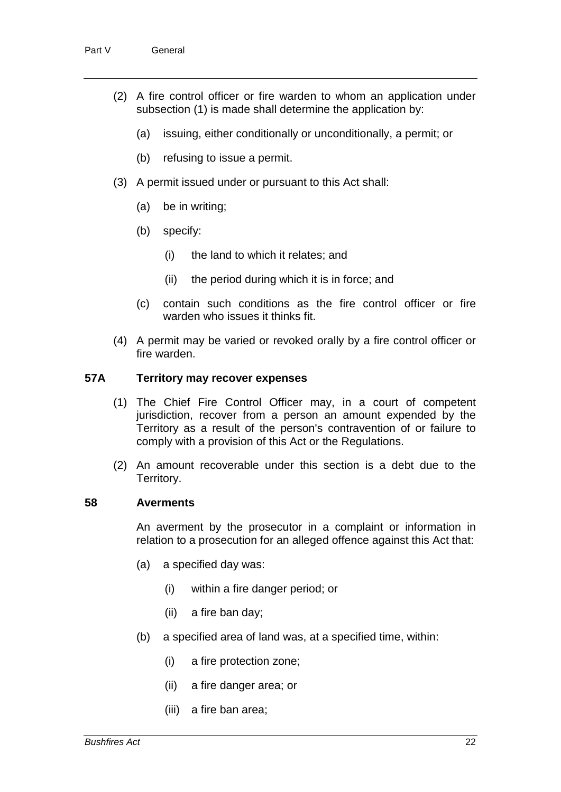- (2) A fire control officer or fire warden to whom an application under subsection (1) is made shall determine the application by:
	- (a) issuing, either conditionally or unconditionally, a permit; or
	- (b) refusing to issue a permit.
- (3) A permit issued under or pursuant to this Act shall:
	- (a) be in writing;
	- (b) specify:
		- (i) the land to which it relates; and
		- (ii) the period during which it is in force; and
	- (c) contain such conditions as the fire control officer or fire warden who issues it thinks fit.
- (4) A permit may be varied or revoked orally by a fire control officer or fire warden.

## **57A Territory may recover expenses**

- (1) The Chief Fire Control Officer may, in a court of competent jurisdiction, recover from a person an amount expended by the Territory as a result of the person's contravention of or failure to comply with a provision of this Act or the Regulations.
- (2) An amount recoverable under this section is a debt due to the Territory.

#### **58 Averments**

An averment by the prosecutor in a complaint or information in relation to a prosecution for an alleged offence against this Act that:

- (a) a specified day was:
	- (i) within a fire danger period; or
	- (ii) a fire ban day;
- (b) a specified area of land was, at a specified time, within:
	- (i) a fire protection zone;
	- (ii) a fire danger area; or
	- (iii) a fire ban area;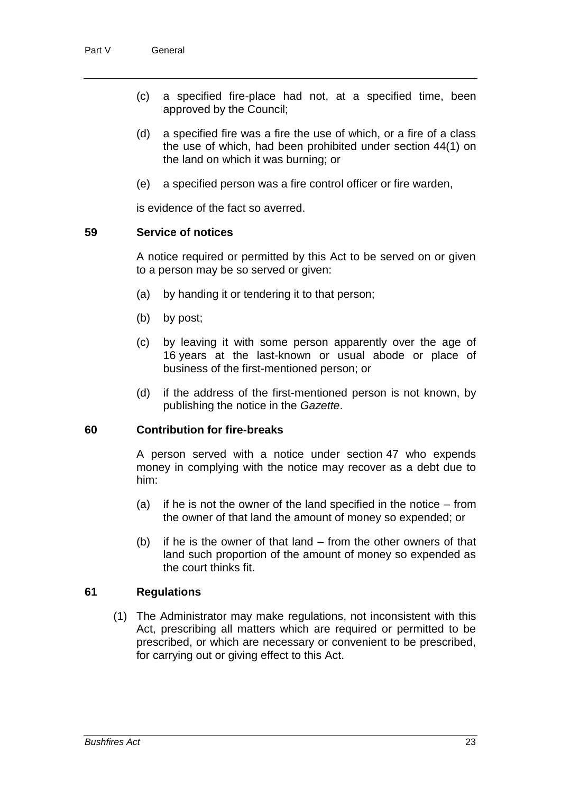- (c) a specified fire-place had not, at a specified time, been approved by the Council;
- (d) a specified fire was a fire the use of which, or a fire of a class the use of which, had been prohibited under section 44(1) on the land on which it was burning; or
- (e) a specified person was a fire control officer or fire warden,

is evidence of the fact so averred.

#### **59 Service of notices**

A notice required or permitted by this Act to be served on or given to a person may be so served or given:

- (a) by handing it or tendering it to that person;
- (b) by post;
- (c) by leaving it with some person apparently over the age of 16 years at the last-known or usual abode or place of business of the first-mentioned person; or
- (d) if the address of the first-mentioned person is not known, by publishing the notice in the *Gazette*.

#### **60 Contribution for fire-breaks**

A person served with a notice under section 47 who expends money in complying with the notice may recover as a debt due to him:

- (a) if he is not the owner of the land specified in the notice from the owner of that land the amount of money so expended; or
- (b) if he is the owner of that land from the other owners of that land such proportion of the amount of money so expended as the court thinks fit.

### **61 Regulations**

(1) The Administrator may make regulations, not inconsistent with this Act, prescribing all matters which are required or permitted to be prescribed, or which are necessary or convenient to be prescribed, for carrying out or giving effect to this Act.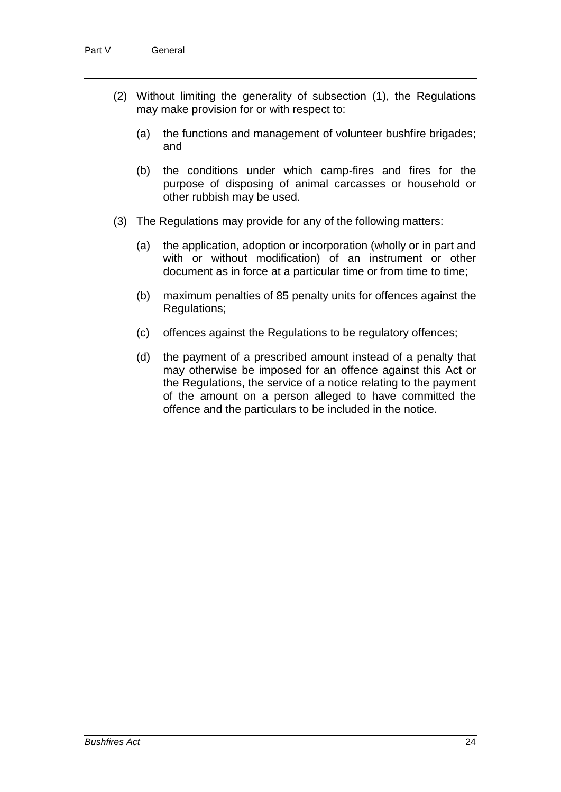- (2) Without limiting the generality of subsection (1), the Regulations may make provision for or with respect to:
	- (a) the functions and management of volunteer bushfire brigades; and
	- (b) the conditions under which camp-fires and fires for the purpose of disposing of animal carcasses or household or other rubbish may be used.
- (3) The Regulations may provide for any of the following matters:
	- (a) the application, adoption or incorporation (wholly or in part and with or without modification) of an instrument or other document as in force at a particular time or from time to time;
	- (b) maximum penalties of 85 penalty units for offences against the Regulations;
	- (c) offences against the Regulations to be regulatory offences;
	- (d) the payment of a prescribed amount instead of a penalty that may otherwise be imposed for an offence against this Act or the Regulations, the service of a notice relating to the payment of the amount on a person alleged to have committed the offence and the particulars to be included in the notice.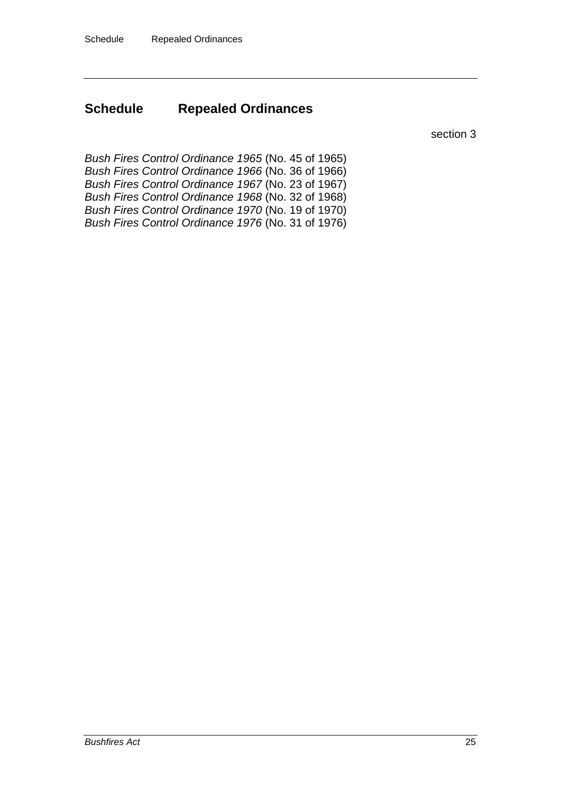# **Schedule Repealed Ordinances**

section 3

*Bush Fires Control Ordinance 1965* (No. 45 of 1965) *Bush Fires Control Ordinance 1966* (No. 36 of 1966) *Bush Fires Control Ordinance 1967* (No. 23 of 1967) *Bush Fires Control Ordinance 1968* (No. 32 of 1968) *Bush Fires Control Ordinance 1970* (No. 19 of 1970) *Bush Fires Control Ordinance 1976* (No. 31 of 1976)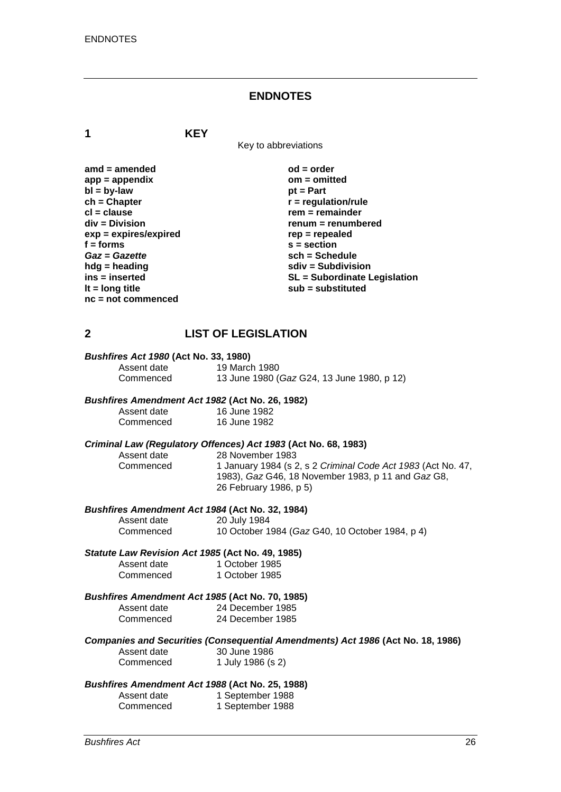#### **ENDNOTES**

**1 KEY**

Key to abbreviations

| amd $=$ amended         |
|-------------------------|
| $app = appendix$        |
| $bl = by-law$           |
| $ch = Chapter$          |
| $cl = clause$           |
| div = Division          |
| $exp = expires/expired$ |
| $f = form$              |
| Gaz = Gazette           |
| hdg = heading           |
| ins = inserted          |
| It $=$ long title       |
| $nc = not$ commenced    |

 $od = order$ **app = appendix om = omitted** *pt* **= Part**  $\mathbf{r}$  = regulation/rule **cl = clause rem = remainder div = Division renum = renumbered exp = expires/expired rep = repealed f = forms s = section** *Gaz* **=** *Gazette* **sch = Schedule hdg = heading sdiv = Subdivision ins = inserted SL = Subordinate Legislation lt = long title sub = substituted**

### **2 LIST OF LEGISLATION**

| <b>Bushfires Act 1980 (Act No. 33, 1980)</b> |  |  |  |
|----------------------------------------------|--|--|--|
|----------------------------------------------|--|--|--|

Assent date 19 March 1980<br>Commenced 13 June 1980 ( Commenced 13 June 1980 (*Gaz* G24, 13 June 1980, p 12)

#### *Bushfires Amendment Act 1982* **(Act No. 26, 1982)**

| Assent date | 16 June 1982 |
|-------------|--------------|
| Commenced   | 16 June 1982 |

# *Criminal Law (Regulatory Offences) Act 1983* **(Act No. 68, 1983)**

28 November 1983 Commenced 1 January 1984 (s 2, s 2 *Criminal Code Act 1983* (Act No. 47, 1983), *Gaz* G46, 18 November 1983, p 11 and *Gaz* G8, 26 February 1986, p 5)

#### *Bushfires Amendment Act 1984* **(Act No. 32, 1984)**

Assent date 20 July 1984<br>Commenced 10 October 19 10 October 1984 (*Gaz* G40, 10 October 1984, p 4)

#### *Statute Law Revision Act 1985* **(Act No. 49, 1985)**

| Assent date | 1 October 1985 |
|-------------|----------------|
| Commenced   | 1 October 1985 |

#### *Bushfires Amendment Act 1985* **(Act No. 70, 1985)**

| Assent date | 24 December 1985 |
|-------------|------------------|
| Commenced   | 24 December 1985 |

#### *Companies and Securities (Consequential Amendments) Act 1986* **(Act No. 18, 1986)**

| Assent date | 30 June 1986      |
|-------------|-------------------|
| Commenced   | 1 July 1986 (s 2) |

#### *Bushfires Amendment Act 1988* **(Act No. 25, 1988)**

| Assent date | 1 September 1988 |
|-------------|------------------|
| Commenced   | 1 September 1988 |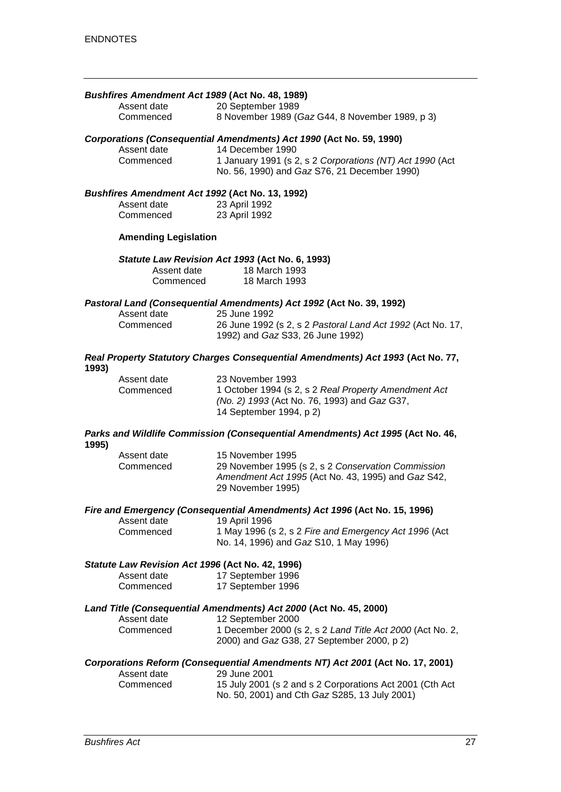#### *Bushfires Amendment Act 1989* **(Act No. 48, 1989)**

| Assent date | 20 September 1989                               |
|-------------|-------------------------------------------------|
| Commenced   | 8 November 1989 (Gaz G44, 8 November 1989, p 3) |

# *Corporations (Consequential Amendments) Act 1990* **(Act No. 59, 1990)**

Assent date 14 December 1990<br>Commenced 1 January 1991 (s 2 1 January 1991 (s 2, s 2 *Corporations (NT) Act 1990* (Act No. 56, 1990) and *Gaz* S76, 21 December 1990)

#### *Bushfires Amendment Act 1992* **(Act No. 13, 1992)**

| Assent date | 23 April 1992 |
|-------------|---------------|
| Commenced   | 23 April 1992 |

#### **Amending Legislation**

#### *Statute Law Revision Act 1993* **(Act No. 6, 1993)**

| Assent date | 18 March 1993 |
|-------------|---------------|
| Commenced   | 18 March 1993 |

#### *Pastoral Land (Consequential Amendments) Act 1992* **(Act No. 39, 1992)**

| Assent date<br>Commenced | 25 June 1992<br>26 June 1992 (s 2, s 2 Pastoral Land Act 1992 (Act No. 17,<br>1992) and <i>Gaz</i> S33, 26 June 1992) |
|--------------------------|-----------------------------------------------------------------------------------------------------------------------|
|--------------------------|-----------------------------------------------------------------------------------------------------------------------|

#### *Real Property Statutory Charges Consequential Amendments) Act 1993* **(Act No. 77, 1993)**

| Assent date<br>Commenced | 23 November 1993<br>1 October 1994 (s 2, s 2 Real Property Amendment Act<br>(No. 2) 1993 (Act No. 76, 1993) and Gaz G37, |
|--------------------------|--------------------------------------------------------------------------------------------------------------------------|
|                          | 14 September 1994, p 2)                                                                                                  |

#### *Parks and Wildlife Commission (Consequential Amendments) Act 1995* **(Act No. 46, 1995)**

| Assent date | 15 November 1995                                                        |
|-------------|-------------------------------------------------------------------------|
| Commenced   | 29 November 1995 (s 2, s 2 Conservation Commission                      |
|             | Amendment Act 1995 (Act No. 43, 1995) and Gaz S42,<br>29 November 1995) |
|             |                                                                         |

#### *Fire and Emergency (Consequential Amendments) Act 1996* **(Act No. 15, 1996)**

| Assent date | 19 April 1996                                         |
|-------------|-------------------------------------------------------|
| Commenced   | 1 May 1996 (s 2, s 2 Fire and Emergency Act 1996 (Act |
|             | No. 14, 1996) and Gaz S10, 1 May 1996)                |

#### *Statute Law Revision Act 1996* **(Act No. 42, 1996)**

| Assent date | 17 September 1996 |
|-------------|-------------------|
| Commenced   | 17 September 1996 |

#### *Land Title (Consequential Amendments) Act 2000* **(Act No. 45, 2000)**

| Assent date | 12 September 2000                                         |
|-------------|-----------------------------------------------------------|
| Commenced   | 1 December 2000 (s 2, s 2 Land Title Act 2000 (Act No. 2, |
|             | 2000) and <i>Gaz</i> G38, 27 September 2000, p 2)         |

#### *Corporations Reform (Consequential Amendments NT) Act 2001* **(Act No. 17, 2001)**

| Assent date | 29 June 2001                                              |
|-------------|-----------------------------------------------------------|
| Commenced   | 15 July 2001 (s 2 and s 2 Corporations Act 2001 (Cth Act) |
|             | No. 50, 2001) and Cth Gaz S285, 13 July 2001)             |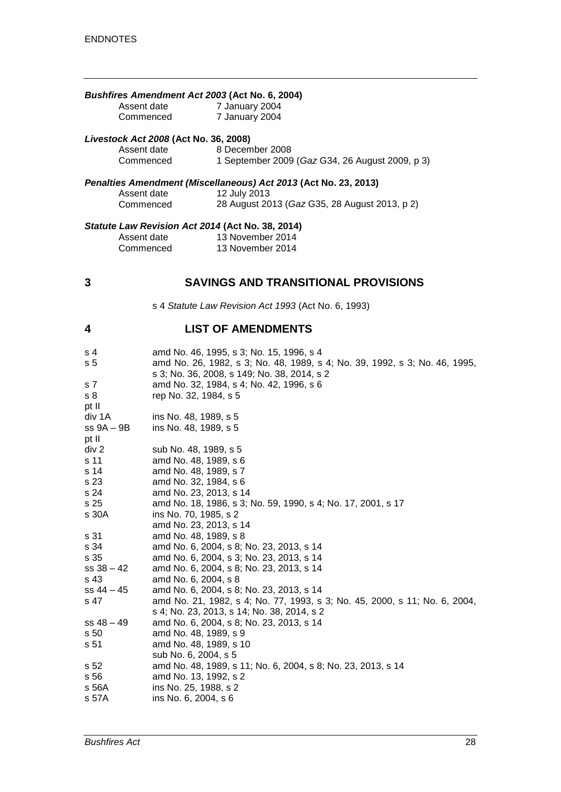#### *Bushfires Amendment Act 2003* **(Act No. 6, 2004)**

| Assent date | 7 January 2004 |
|-------------|----------------|
| Commenced   | 7 January 2004 |

#### *Livestock Act 2008* **(Act No. 36, 2008)**

| Assent date | 8 December 2008                                 |
|-------------|-------------------------------------------------|
| Commenced   | 1 September 2009 (Gaz G34, 26 August 2009, p 3) |

#### *Penalties Amendment (Miscellaneous) Act 2013* **(Act No. 23, 2013)**

| Assent date | 12 July 2013                                  |
|-------------|-----------------------------------------------|
| Commenced   | 28 August 2013 (Gaz G35, 28 August 2013, p 2) |

#### *Statute Law Revision Act 2014* **(Act No. 38, 2014)**

| Assent date | 13 November 2014 |
|-------------|------------------|
| Commenced   | 13 November 2014 |

### **3 SAVINGS AND TRANSITIONAL PROVISIONS**

s 4 *Statute Law Revision Act 1993* (Act No. 6, 1993)

## **4 LIST OF AMENDMENTS**

| s 4<br>s <sub>5</sub> | amd No. 46, 1995, s 3; No. 15, 1996, s 4<br>amd No. 26, 1982, s 3; No. 48, 1989, s 4; No. 39, 1992, s 3; No. 46, 1995,<br>s 3; No. 36, 2008, s 149; No. 38, 2014, s 2 |
|-----------------------|-----------------------------------------------------------------------------------------------------------------------------------------------------------------------|
| s 7                   | amd No. 32, 1984, s 4; No. 42, 1996, s 6                                                                                                                              |
| s <sub>8</sub>        | rep No. 32, 1984, s 5                                                                                                                                                 |
| pt II                 |                                                                                                                                                                       |
| div 1A                | ins No. 48, 1989, s 5                                                                                                                                                 |
| ss 9A - 9B            | ins No. 48, 1989, s 5                                                                                                                                                 |
| pt II                 |                                                                                                                                                                       |
| div 2                 | sub No. 48, 1989, s 5                                                                                                                                                 |
| s 11                  | amd No. 48, 1989, s 6                                                                                                                                                 |
| s 14                  | amd No. 48, 1989, s 7                                                                                                                                                 |
| s 23                  | amd No. 32, 1984, s 6                                                                                                                                                 |
| s 24                  | amd No. 23, 2013, s 14                                                                                                                                                |
| s 25                  | amd No. 18, 1986, s 3; No. 59, 1990, s 4; No. 17, 2001, s 17                                                                                                          |
| s 30A                 | ins No. 70, 1985, s 2<br>amd No. 23, 2013, s 14                                                                                                                       |
| s 31                  | amd No. 48, 1989, s 8                                                                                                                                                 |
| s 34                  | amd No. 6, 2004, s 8; No. 23, 2013, s 14                                                                                                                              |
| s 35                  | amd No. 6, 2004, s 3; No. 23, 2013, s 14                                                                                                                              |
| $ss 38 - 42$          | amd No. 6, 2004, s 8; No. 23, 2013, s 14                                                                                                                              |
| s 43                  | amd No. 6, 2004, s 8                                                                                                                                                  |
| $ss 44 - 45$          | amd No. 6, 2004, s 8; No. 23, 2013, s 14                                                                                                                              |
| s 47                  | amd No. 21, 1982, s 4; No. 77, 1993, s 3; No. 45, 2000, s 11; No. 6, 2004,                                                                                            |
|                       | s 4; No. 23, 2013, s 14; No. 38, 2014, s 2                                                                                                                            |
| $ss 48 - 49$          | amd No. 6, 2004, s 8; No. 23, 2013, s 14                                                                                                                              |
| s 50                  | amd No. 48, 1989, s 9                                                                                                                                                 |
| s 51                  | amd No. 48, 1989, s 10                                                                                                                                                |
|                       | sub No. 6, 2004, s 5                                                                                                                                                  |
| s 52                  | amd No. 48, 1989, s 11; No. 6, 2004, s 8; No. 23, 2013, s 14                                                                                                          |
| s 56                  | amd No. 13, 1992, s 2                                                                                                                                                 |
| s 56A                 | ins No. 25, 1988, s 2                                                                                                                                                 |
| s 57A                 | ins No. 6, 2004, s 6                                                                                                                                                  |